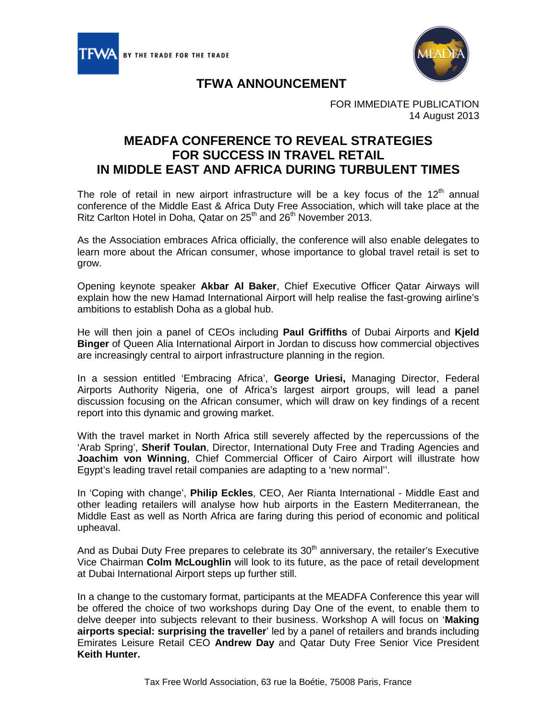



## **TFWA ANNOUNCEMENT**

FOR IMMEDIATE PUBLICATION 14 August 2013

## **MEADFA CONFERENCE TO REVEAL STRATEGIES FOR SUCCESS IN TRAVEL RETAIL IN MIDDLE EAST AND AFRICA DURING TURBULENT TIMES**

The role of retail in new airport infrastructure will be a key focus of the  $12<sup>th</sup>$  annual conference of the Middle East & Africa Duty Free Association, which will take place at the Ritz Carlton Hotel in Doha, Qatar on 25<sup>th</sup> and 26<sup>th</sup> November 2013.

As the Association embraces Africa officially, the conference will also enable delegates to learn more about the African consumer, whose importance to global travel retail is set to grow.

Opening keynote speaker **Akbar Al Baker**, Chief Executive Officer Qatar Airways will explain how the new Hamad International Airport will help realise the fast-growing airline's ambitions to establish Doha as a global hub.

He will then join a panel of CEOs including **Paul Griffiths** of Dubai Airports and **Kjeld Binger** of Queen Alia International Airport in Jordan to discuss how commercial objectives are increasingly central to airport infrastructure planning in the region.

In a session entitled 'Embracing Africa', **George Uriesi,** Managing Director, Federal Airports Authority Nigeria, one of Africa's largest airport groups, will lead a panel discussion focusing on the African consumer, which will draw on key findings of a recent report into this dynamic and growing market.

With the travel market in North Africa still severely affected by the repercussions of the 'Arab Spring', **Sherif Toulan**, Director, International Duty Free and Trading Agencies and **Joachim von Winning**, Chief Commercial Officer of Cairo Airport will illustrate how Egypt's leading travel retail companies are adapting to a 'new normal''.

In 'Coping with change', **Philip Eckles**, CEO, Aer Rianta International - Middle East and other leading retailers will analyse how hub airports in the Eastern Mediterranean, the Middle East as well as North Africa are faring during this period of economic and political upheaval.

And as Dubai Duty Free prepares to celebrate its  $30<sup>th</sup>$  anniversary, the retailer's Executive Vice Chairman **Colm McLoughlin** will look to its future, as the pace of retail development at Dubai International Airport steps up further still.

In a change to the customary format, participants at the MEADFA Conference this year will be offered the choice of two workshops during Day One of the event, to enable them to delve deeper into subjects relevant to their business. Workshop A will focus on '**Making airports special: surprising the traveller**' led by a panel of retailers and brands including Emirates Leisure Retail CEO **Andrew Day** and Qatar Duty Free Senior Vice President **Keith Hunter.**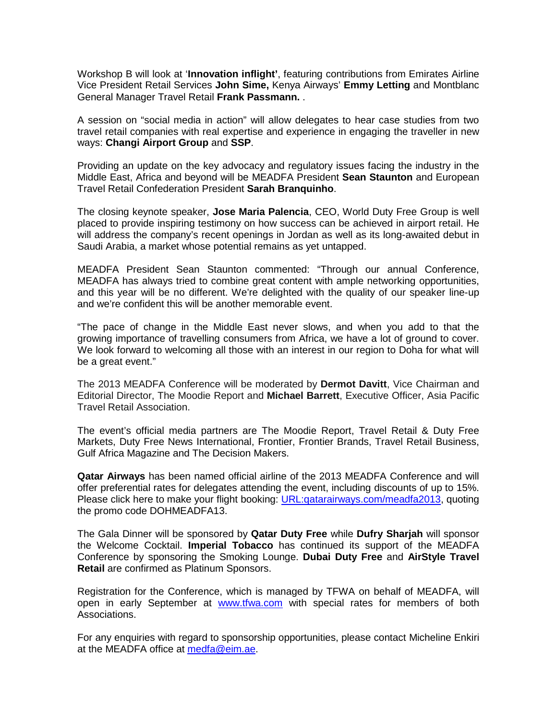Workshop B will look at '**Innovation inflight'**, featuring contributions from Emirates Airline Vice President Retail Services **John Sime,** Kenya Airways' **Emmy Letting** and Montblanc General Manager Travel Retail **Frank Passmann.** .

A session on "social media in action" will allow delegates to hear case studies from two travel retail companies with real expertise and experience in engaging the traveller in new ways: **Changi Airport Group** and **SSP**.

Providing an update on the key advocacy and regulatory issues facing the industry in the Middle East, Africa and beyond will be MEADFA President **Sean Staunton** and European Travel Retail Confederation President **Sarah Branquinho**.

The closing keynote speaker, **Jose Maria Palencia**, CEO, World Duty Free Group is well placed to provide inspiring testimony on how success can be achieved in airport retail. He will address the company's recent openings in Jordan as well as its long-awaited debut in Saudi Arabia, a market whose potential remains as yet untapped.

MEADFA President Sean Staunton commented: "Through our annual Conference, MEADFA has always tried to combine great content with ample networking opportunities, and this year will be no different. We're delighted with the quality of our speaker line-up and we're confident this will be another memorable event.

"The pace of change in the Middle East never slows, and when you add to that the growing importance of travelling consumers from Africa, we have a lot of ground to cover. We look forward to welcoming all those with an interest in our region to Doha for what will be a great event."

The 2013 MEADFA Conference will be moderated by **Dermot Davitt**, Vice Chairman and Editorial Director, The Moodie Report and **Michael Barrett**, Executive Officer, Asia Pacific Travel Retail Association.

The event's official media partners are The Moodie Report, Travel Retail & Duty Free Markets, Duty Free News International, Frontier, Frontier Brands, Travel Retail Business, Gulf Africa Magazine and The Decision Makers.

**Qatar Airways** has been named official airline of the 2013 MEADFA Conference and will offer preferential rates for delegates attending the event, including discounts of up to 15%. Please click here to make your flight booking: URL:qatarairways.com/meadfa2013, quoting the promo code DOHMEADFA13.

The Gala Dinner will be sponsored by **Qatar Duty Free** while **Dufry Sharjah** will sponsor the Welcome Cocktail. **Imperial Tobacco** has continued its support of the MEADFA Conference by sponsoring the Smoking Lounge. **Dubai Duty Free** and **AirStyle Travel Retail** are confirmed as Platinum Sponsors.

Registration for the Conference, which is managed by TFWA on behalf of MEADFA, will open in early September at [www.tfwa.com](http://www.tfwa.com/) with special rates for members of both Associations.

For any enquiries with regard to sponsorship opportunities, please contact Micheline Enkiri at the MEADFA office at [medfa@eim.ae.](mailto:medfa@eim.ae)